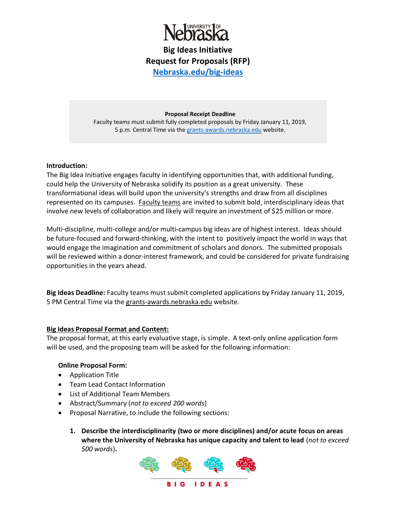

**Big Ideas Initiative Request for Proposals (RFP) [Nebraska.edu/big-ideas](http://nebraska.edu/big-ideas)**

### **Proposal Receipt Deadline**

Faculty teams must submit fully completed proposals by Friday January 11, 2019, 5 p.m. Central Time via the [grants-awards.nebraska.edu](https://grants-awards.nebraska.edu/) website.

## **Introduction:**

The Big Idea Initiative engages faculty in identifying opportunities that, with additional funding, could help the University of Nebraska solidify its position as a great university. These transformational ideas will build upon the university's strengths and draw from all disciplines represented on its campuses. Faculty teams are invited to submit bold, interdisciplinary ideas that involve new levels of collaboration and likely will require an investment of \$25 million or more.

Multi-discipline, multi-college and/or multi-campus big ideas are of highest interest. Ideas should be future-focused and forward-thinking, with the intent to positively impact the world in ways that would engage the imagination and commitment of scholars and donors. The submitted proposals will be reviewed within a donor-interest framework, and could be considered for private fundraising opportunities in the years ahead.

**Big Ideas Deadline:** Faculty teams must submit completed applications by Friday January 11, 2019, 5 PM Central Time via the [grants-awards.nebraska.edu](https://grants-awards.nebraska.edu/) website.

# **Big Ideas Proposal Format and Content:**

The proposal format, at this early evaluative stage, is simple. A text-only online application form will be used, and the proposing team will be asked for the following information:

# **Online Proposal Form:**

- Application Title
- Team Lead Contact Information
- List of Additional Team Members
- Abstract/Summary (*not to exceed 200 words*)
- Proposal Narrative, to include the following sections:
	- **1. Describe the interdisciplinarity (two or more disciplines) and/or acute focus on areas where the University of Nebraska has unique capacity and talent to lead** (*not to exceed 500 words*)**.**

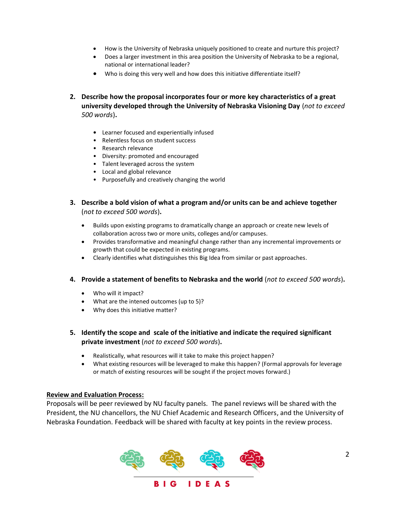- How is the University of Nebraska uniquely positioned to create and nurture this project?
- Does a larger investment in this area position the University of Nebraska to be a regional, national or international leader?
- Who is doing this very well and how does this initiative differentiate itself?
- **2. Describe how the proposal incorporates four or more key characteristics of a great university developed through the University of Nebraska Visioning Day** (*not to exceed 500 words*)**.**
	- **•** Learner focused and experientially infused
	- Relentless focus on student success
	- Research relevance
	- Diversity: promoted and encouraged
	- Talent leveraged across the system
	- Local and global relevance
	- Purposefully and creatively changing the world
- **3. Describe a bold vision of what a program and/or units can be and achieve together** (*not to exceed 500 words*)**.**
	- Builds upon existing programs to dramatically change an approach or create new levels of collaboration across two or more units, colleges and/or campuses.
	- Provides transformative and meaningful change rather than any incremental improvements or growth that could be expected in existing programs.
	- Clearly identifies what distinguishes this Big Idea from similar or past approaches.

## **4. Provide a statement of benefits to Nebraska and the world** (*not to exceed 500 words*)**.**

- Who will it impact?
- What are the intened outcomes (up to 5)?
- Why does this initiative matter?
- **5. Identify the scope and scale of the initiative and indicate the required significant private investment** (*not to exceed 500 words*)**.**
	- Realistically, what resources will it take to make this project happen?
	- What existing resources will be leveraged to make this happen? (Formal approvals for leverage or match of existing resources will be sought if the project moves forward.)

### **Review and Evaluation Process:**

Proposals will be peer reviewed by NU faculty panels. The panel reviews will be shared with the President, the NU chancellors, the NU Chief Academic and Research Officers, and the University of Nebraska Foundation. Feedback will be shared with faculty at key points in the review process.